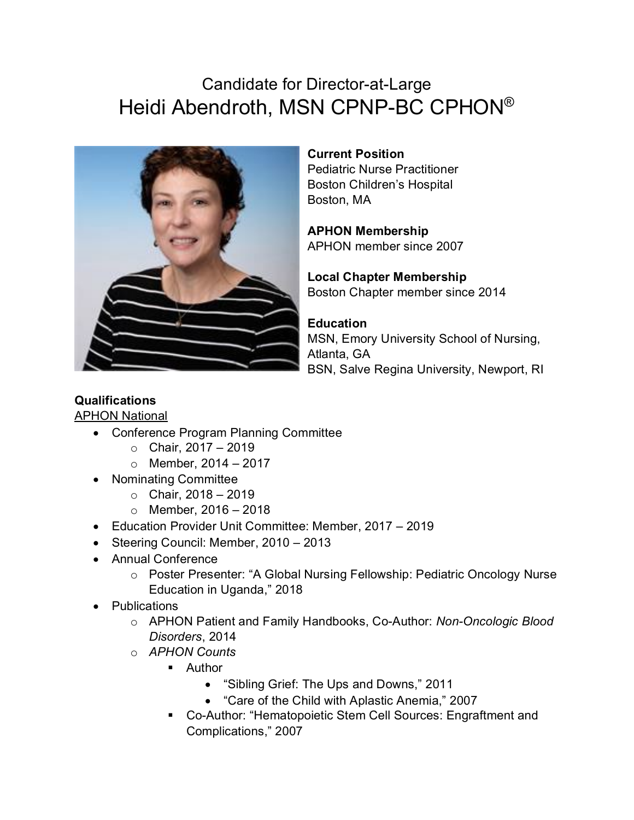## Candidate for Director-at-Large Heidi Abendroth, MSN CPNP-BC CPHON®



**Current Position** Pediatric Nurse Practitioner Boston Children's Hospital Boston, MA

**APHON Membership** APHON member since 2007

**Local Chapter Membership** Boston Chapter member since 2014

**Education** MSN, Emory University School of Nursing, Atlanta, GA BSN, Salve Regina University, Newport, RI

## **Qualifications**

## APHON National

- Conference Program Planning Committee
	- $\circ$  Chair, 2017 2019
	- $\circ$  Member, 2014 2017
- Nominating Committee
	- $\circ$  Chair, 2018 2019
	- $\circ$  Member, 2016 2018
- Education Provider Unit Committee: Member, 2017 2019
- Steering Council: Member, 2010 2013
- Annual Conference
	- o Poster Presenter: "A Global Nursing Fellowship: Pediatric Oncology Nurse Education in Uganda," 2018
- **Publications** 
	- o APHON Patient and Family Handbooks, Co-Author: *Non-Oncologic Blood Disorders*, 2014
	- o *APHON Counts*
		- **Author** 
			- "Sibling Grief: The Ups and Downs," 2011
			- "Care of the Child with Aplastic Anemia," 2007
		- Co-Author: "Hematopoietic Stem Cell Sources: Engraftment and Complications," 2007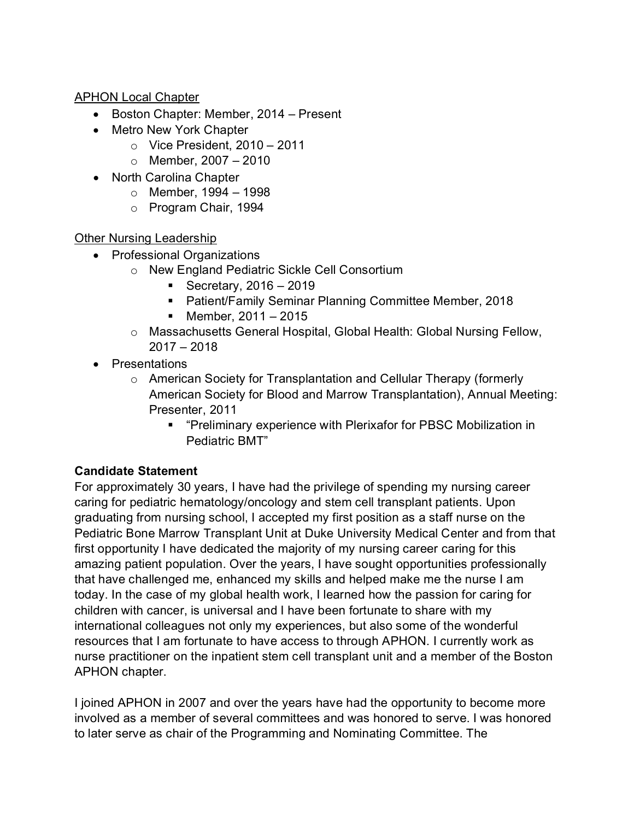APHON Local Chapter

- Boston Chapter: Member, 2014 Present
- Metro New York Chapter
	- $\circ$  Vice President, 2010 2011
	- $\circ$  Member, 2007 2010
- North Carolina Chapter
	- $\circ$  Member, 1994 1998
	- o Program Chair, 1994

Other Nursing Leadership

- Professional Organizations
	- o New England Pediatric Sickle Cell Consortium
		- Secretary,  $2016 2019$
		- Patient/Family Seminar Planning Committee Member, 2018
		- $\blacksquare$  Member, 2011 2015
		- o Massachusetts General Hospital, Global Health: Global Nursing Fellow, 2017 – 2018
- Presentations
	- $\circ$  American Society for Transplantation and Cellular Therapy (formerly American Society for Blood and Marrow Transplantation), Annual Meeting: Presenter, 2011
		- "Preliminary experience with Plerixafor for PBSC Mobilization in Pediatric BMT"

## **Candidate Statement**

For approximately 30 years, I have had the privilege of spending my nursing career caring for pediatric hematology/oncology and stem cell transplant patients. Upon graduating from nursing school, I accepted my first position as a staff nurse on the Pediatric Bone Marrow Transplant Unit at Duke University Medical Center and from that first opportunity I have dedicated the majority of my nursing career caring for this amazing patient population. Over the years, I have sought opportunities professionally that have challenged me, enhanced my skills and helped make me the nurse I am today. In the case of my global health work, I learned how the passion for caring for children with cancer, is universal and I have been fortunate to share with my international colleagues not only my experiences, but also some of the wonderful resources that I am fortunate to have access to through APHON. I currently work as nurse practitioner on the inpatient stem cell transplant unit and a member of the Boston APHON chapter.

I joined APHON in 2007 and over the years have had the opportunity to become more involved as a member of several committees and was honored to serve. I was honored to later serve as chair of the Programming and Nominating Committee. The